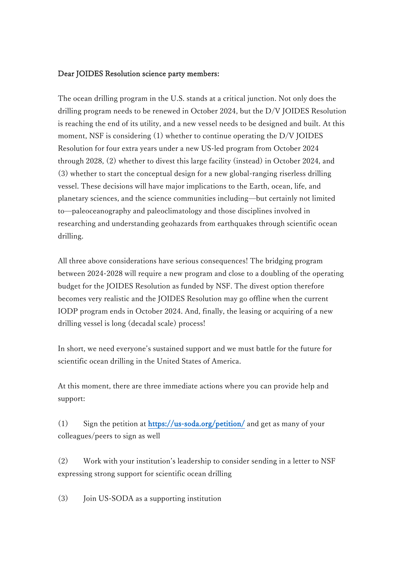## Dear JOIDES Resolution science party members:

The ocean drilling program in the U.S. stands at a critical junction. Not only does the drilling program needs to be renewed in October 2024, but the D/V JOIDES Resolution is reaching the end of its utility, and a new vessel needs to be designed and built. At this moment, NSF is considering (1) whether to continue operating the D/V JOIDES Resolution for four extra years under a new US-led program from October 2024 through 2028, (2) whether to divest this large facility (instead) in October 2024, and (3) whether to start the conceptual design for a new global-ranging riserless drilling vessel. These decisions will have major implications to the Earth, ocean, life, and planetary sciences, and the science communities including—but certainly not limited to—paleoceanography and paleoclimatology and those disciplines involved in researching and understanding geohazards from earthquakes through scientific ocean drilling.

All three above considerations have serious consequences! The bridging program between 2024-2028 will require a new program and close to a doubling of the operating budget for the JOIDES Resolution as funded by NSF. The divest option therefore becomes very realistic and the JOIDES Resolution may go offline when the current IODP program ends in October 2024. And, finally, the leasing or acquiring of a new drilling vessel is long (decadal scale) process!

In short, we need everyone's sustained support and we must battle for the future for scientific ocean drilling in the United States of America.

At this moment, there are three immediate actions where you can provide help and support:

(1) Sign the petition at<https://us-soda.org/petition/>and get as many of your colleagues/peers to sign as well

(2) Work with your institution's leadership to consider sending in a letter to NSF expressing strong support for scientific ocean drilling

(3) Join US-SODA as a supporting institution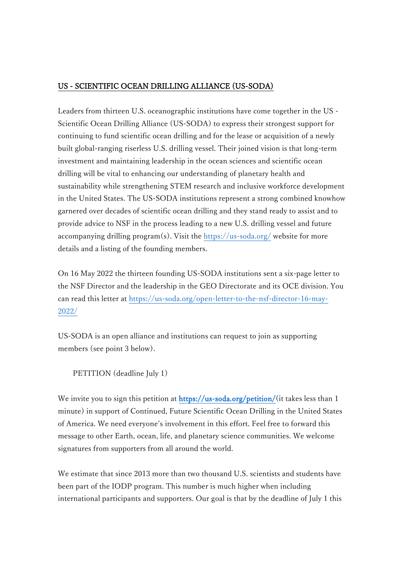## US - SCIENTIFIC OCEAN DRILLING ALLIANCE (US-SODA)

Leaders from thirteen U.S. oceanographic institutions have come together in the US - Scientific Ocean Drilling Alliance (US-SODA) to express their strongest support for continuing to fund scientific ocean drilling and for the lease or acquisition of a newly built global-ranging riserless U.S. drilling vessel. Their joined vision is that long-term investment and maintaining leadership in the ocean sciences and scientific ocean drilling will be vital to enhancing our understanding of planetary health and sustainability while strengthening STEM research and inclusive workforce development in the United States. The US-SODA institutions represent a strong combined knowhow garnered over decades of scientific ocean drilling and they stand ready to assist and to provide advice to NSF in the process leading to a new U.S. drilling vessel and future accompanying drilling program(s). Visit the<https://us-soda.org/> website for more details and a listing of the founding members.

On 16 May 2022 the thirteen founding US-SODA institutions sent a six-page letter to the NSF Director and the leadership in the GEO Directorate and its OCE division. You can read this letter at [https://us-soda.org/open-letter-to-the-nsf-director-16-may-](https://us-soda.org/open-letter-to-the-nsf-director-16-may-2022/)[2022/](https://us-soda.org/open-letter-to-the-nsf-director-16-may-2022/)

US-SODA is an open alliance and institutions can request to join as supporting members (see point 3 below).

PETITION (deadline July 1)

We invite you to sign this petition at [https://us-soda.org/petition/\(](https://us-soda.org/petition/)it takes less than 1 minute) in support of Continued, Future Scientific Ocean Drilling in the United States of America. We need everyone's involvement in this effort. Feel free to forward this message to other Earth, ocean, life, and planetary science communities. We welcome signatures from supporters from all around the world.

We estimate that since 2013 more than two thousand U.S. scientists and students have been part of the IODP program. This number is much higher when including international participants and supporters. Our goal is that by the deadline of July 1 this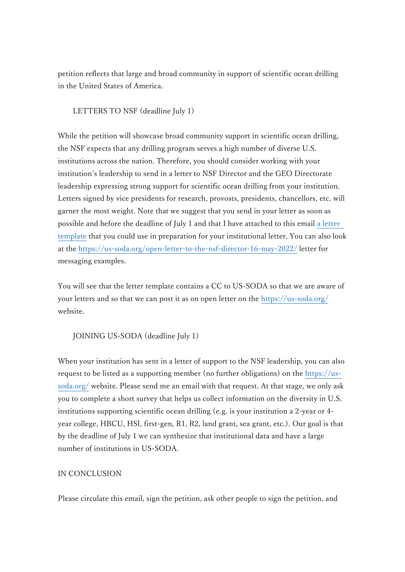petition reflects that large and broad community in support of scientific ocean drilling in the United States of America.

## LETTERS TO NSF (deadline July 1)

While the petition will showcase broad community support in scientific ocean drilling, the NSF expects that any drilling program serves a high number of diverse U.S. institutions across the nation. Therefore, you should consider working with your institution's leadership to send in a letter to NSF Director and the GEO Directorate leadership expressing strong support for scientific ocean drilling from your institution. Letters signed by vice presidents for research, provosts, presidents, chancellors, etc. will garner the most weight. Note that we suggest that you send in your letter as soon as possible and before the deadline of July 1 and that I have attached to this email [a letter](http://j-desc.org/jpn/wp-content/uploads/2022/05/2022-05-26.US-SODA.letter.template.docx)  [template](http://j-desc.org/jpn/wp-content/uploads/2022/05/2022-05-26.US-SODA.letter.template.docx) that you could use in preparation for your institutional letter. You can also look at the<https://us-soda.org/open-letter-to-the-nsf-director-16-may-2022/> letter for messaging examples.

You will see that the letter template contains a CC to US-SODA so that we are aware of your letters and so that we can post it as on open letter on the<https://us-soda.org/> website.

JOINING US-SODA (deadline July 1)

When your institution has sent in a letter of support to the NSF leadership, you can also request to be listed as a supporting member (no further obligations) on the [https://us](https://us-soda.org/)[soda.org/](https://us-soda.org/) website. Please send me an email with that request. At that stage, we only ask you to complete a short survey that helps us collect information on the diversity in U.S. institutions supporting scientific ocean drilling (e.g. is your institution a 2-year or 4 year college, HBCU, HSI, first-gen, R1, R2, land grant, sea grant, etc.). Our goal is that by the deadline of July 1 we can synthesize that institutional data and have a large number of institutions in US-SODA.

## IN CONCLUSION

Please circulate this email, sign the petition, ask other people to sign the petition, and